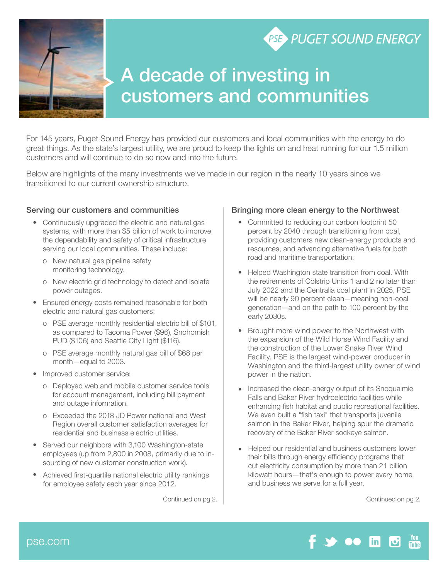

## A decade of investing in customers and communities

For 145 years, Puget Sound Energy has provided our customers and local communities with the energy to do great things. As the state's largest utility, we are proud to keep the lights on and heat running for our 1.5 million customers and will continue to do so now and into the future.

Below are highlights of the many investments we've made in our region in the nearly 10 years since we transitioned to our current ownership structure.

## Serving our customers and communities

- Continuously upgraded the electric and natural gas systems, with more than \$5 billion of work to improve the dependability and safety of critical infrastructure serving our local communities. These include:
	- o New natural gas pipeline safety monitoring technology.
	- o New electric grid technology to detect and isolate power outages.
- Ensured energy costs remained reasonable for both electric and natural gas customers:
	- o PSE average monthly residential electric bill of \$101, as compared to Tacoma Power (\$96), Snohomish PUD (\$106) and Seattle City Light (\$116).
	- o PSE average monthly natural gas bill of \$68 per month—equal to 2003.
- Improved customer service:
	- o Deployed web and mobile customer service tools for account management, including bill payment and outage information.
	- o Exceeded the 2018 JD Power national and West Region overall customer satisfaction averages for residential and business electric utilities.
- Served our neighbors with 3,100 Washington-state employees (up from 2,800 in 2008, primarily due to insourcing of new customer construction work).
- Achieved first-quartile national electric utility rankings for employee safety each year since 2012.

## Bringing more clean energy to the Northwest

• Committed to reducing our carbon footprint 50 percent by 2040 through transitioning from coal, providing customers new clean-energy products and resources, and advancing alternative fuels for both road and maritime transportation.

**PSE PUGET SOUND ENERGY** 

- Helped Washington state transition from coal. With the retirements of Colstrip Units 1 and 2 no later than July 2022 and the Centralia coal plant in 2025, PSE will be nearly 90 percent clean—meaning non-coal generation—and on the path to 100 percent by the early 2030s.
- Brought more wind power to the Northwest with the expansion of the Wild Horse Wind Facility and the construction of the Lower Snake River Wind Facility. PSE is the largest wind-power producer in Washington and the third-largest utility owner of wind power in the nation.
- Increased the clean-energy output of its Snoqualmie Falls and Baker River hydroelectric facilities while enhancing fish habitat and public recreational facilities. We even built a "fish taxi" that transports juvenile salmon in the Baker River, helping spur the dramatic recovery of the Baker River sockeye salmon.
- Helped our residential and business customers lower their bills through energy efficiency programs that cut electricity consumption by more than 21 billion kilowatt hours—that's enough to power every home and business we serve for a full year.

Continued on pg 2. Continued on pg 2.

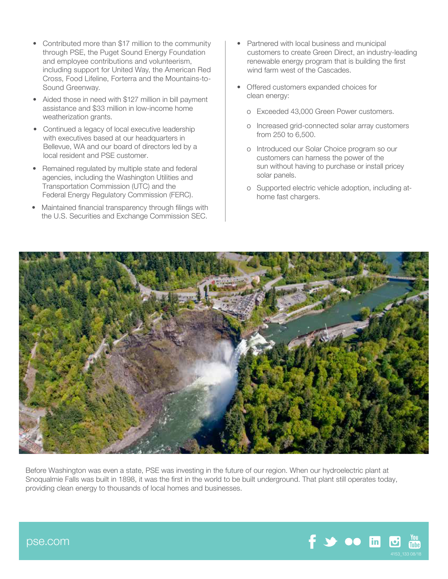- Contributed more than \$17 million to the community through PSE, the Puget Sound Energy Foundation and employee contributions and volunteerism, including support for United Way, the American Red Cross, Food Lifeline, Forterra and the Mountains-to-Sound Greenway.
- Aided those in need with \$127 million in bill payment assistance and \$33 million in low-income home weatherization grants.
- Continued a legacy of local executive leadership with executives based at our headquarters in Bellevue, WA and our board of directors led by a local resident and PSE customer.
- Remained regulated by multiple state and federal agencies, including the Washington Utilities and Transportation Commission (UTC) and the Federal Energy Regulatory Commission (FERC).
- Maintained financial transparency through filings with the U.S. Securities and Exchange Commission SEC.
- Partnered with local business and municipal customers to create Green Direct, an industry-leading renewable energy program that is building the first wind farm west of the Cascades.
- Offered customers expanded choices for clean energy:
	- o Exceeded 43,000 Green Power customers.
	- o Increased grid-connected solar array customers from 250 to 6,500.
	- o Introduced our Solar Choice program so our customers can harness the power of the sun without having to purchase or install pricey solar panels.
	- o Supported electric vehicle adoption, including athome fast chargers.



Before Washington was even a state, PSE was investing in the future of our region. When our hydroelectric plant at Snoqualmie Falls was built in 1898, it was the first in the world to be built underground. That plant still operates today, providing clean energy to thousands of local homes and businesses.